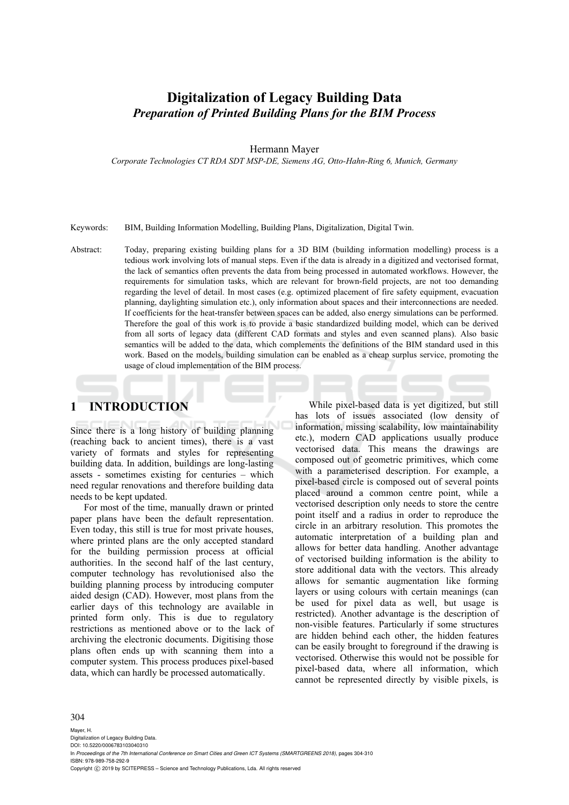# **Digitalization of Legacy Building Data**  *Preparation of Printed Building Plans for the BIM Process*

Hermann Mayer

*Corporate Technologies CT RDA SDT MSP-DE, Siemens AG, Otto-Hahn-Ring 6, Munich, Germany* 

Keywords: BIM, Building Information Modelling, Building Plans, Digitalization, Digital Twin.

Abstract: Today, preparing existing building plans for a 3D BIM (building information modelling) process is a tedious work involving lots of manual steps. Even if the data is already in a digitized and vectorised format, the lack of semantics often prevents the data from being processed in automated workflows. However, the requirements for simulation tasks, which are relevant for brown-field projects, are not too demanding regarding the level of detail. In most cases (e.g. optimized placement of fire safety equipment, evacuation planning, daylighting simulation etc.), only information about spaces and their interconnections are needed. If coefficients for the heat-transfer between spaces can be added, also energy simulations can be performed. Therefore the goal of this work is to provide a basic standardized building model, which can be derived from all sorts of legacy data (different CAD formats and styles and even scanned plans). Also basic semantics will be added to the data, which complements the definitions of the BIM standard used in this work. Based on the models, building simulation can be enabled as a cheap surplus service, promoting the usage of cloud implementation of the BIM process.

# **1 INTRODUCTION**

Since there is a long history of building planning (reaching back to ancient times), there is a vast variety of formats and styles for representing building data. In addition, buildings are long-lasting assets - sometimes existing for centuries – which need regular renovations and therefore building data needs to be kept updated.

For most of the time, manually drawn or printed paper plans have been the default representation. Even today, this still is true for most private houses, where printed plans are the only accepted standard for the building permission process at official authorities. In the second half of the last century, computer technology has revolutionised also the building planning process by introducing computer aided design (CAD). However, most plans from the earlier days of this technology are available in printed form only. This is due to regulatory restrictions as mentioned above or to the lack of archiving the electronic documents. Digitising those plans often ends up with scanning them into a computer system. This process produces pixel-based data, which can hardly be processed automatically.

While pixel-based data is yet digitized, but still has lots of issues associated (low density of information, missing scalability, low maintainability etc.), modern CAD applications usually produce vectorised data. This means the drawings are composed out of geometric primitives, which come with a parameterised description. For example, a pixel-based circle is composed out of several points placed around a common centre point, while a vectorised description only needs to store the centre point itself and a radius in order to reproduce the circle in an arbitrary resolution. This promotes the automatic interpretation of a building plan and allows for better data handling. Another advantage of vectorised building information is the ability to store additional data with the vectors. This already allows for semantic augmentation like forming layers or using colours with certain meanings (can be used for pixel data as well, but usage is restricted). Another advantage is the description of non-visible features. Particularly if some structures are hidden behind each other, the hidden features can be easily brought to foreground if the drawing is vectorised. Otherwise this would not be possible for pixel-based data, where all information, which cannot be represented directly by visible pixels, is

#### 304

Mayer, H. Digitalization of Legacy Building Data. DOI: 10.5220/0006783103040310 In *Proceedings of the 7th International Conference on Smart Cities and Green ICT Systems (SMARTGREENS 2018)*, pages 304-310 ISBN: 978-989-758-292-9 Copyright (C) 2019 by SCITEPRESS - Science and Technology Publications, Lda. All rights reserved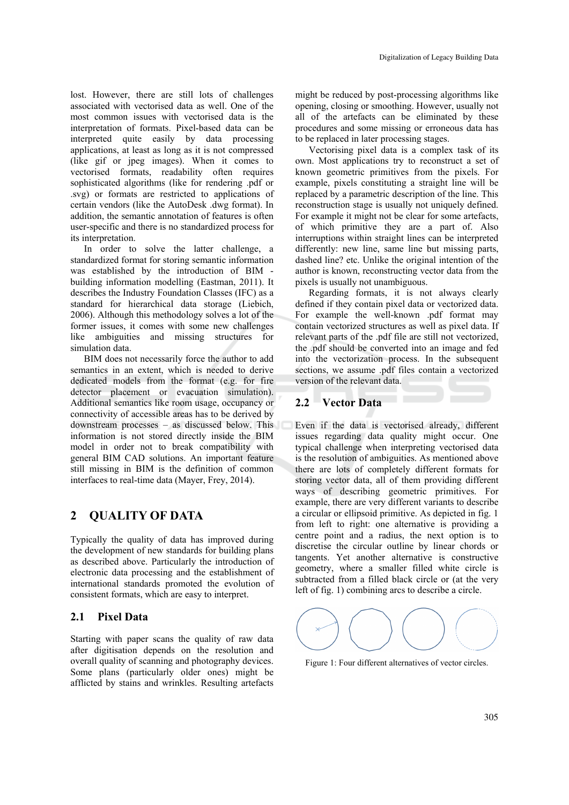lost. However, there are still lots of challenges associated with vectorised data as well. One of the most common issues with vectorised data is the interpretation of formats. Pixel-based data can be interpreted quite easily by data processing applications, at least as long as it is not compressed (like gif or jpeg images). When it comes to vectorised formats, readability often requires sophisticated algorithms (like for rendering .pdf or .svg) or formats are restricted to applications of certain vendors (like the AutoDesk .dwg format). In addition, the semantic annotation of features is often user-specific and there is no standardized process for its interpretation.

In order to solve the latter challenge, a standardized format for storing semantic information was established by the introduction of BIM building information modelling (Eastman, 2011). It describes the Industry Foundation Classes (IFC) as a standard for hierarchical data storage (Liebich, 2006). Although this methodology solves a lot of the former issues, it comes with some new challenges like ambiguities and missing structures for simulation data.

BIM does not necessarily force the author to add semantics in an extent, which is needed to derive dedicated models from the format (e.g. for fire detector placement or evacuation simulation). Additional semantics like room usage, occupancy or connectivity of accessible areas has to be derived by downstream processes – as discussed below. This information is not stored directly inside the BIM model in order not to break compatibility with general BIM CAD solutions. An important feature still missing in BIM is the definition of common interfaces to real-time data (Mayer, Frey, 2014).

### **2 QUALITY OF DATA**

Typically the quality of data has improved during the development of new standards for building plans as described above. Particularly the introduction of electronic data processing and the establishment of international standards promoted the evolution of consistent formats, which are easy to interpret.

#### **2.1 Pixel Data**

Starting with paper scans the quality of raw data after digitisation depends on the resolution and overall quality of scanning and photography devices. Some plans (particularly older ones) might be afflicted by stains and wrinkles. Resulting artefacts

might be reduced by post-processing algorithms like opening, closing or smoothing. However, usually not all of the artefacts can be eliminated by these procedures and some missing or erroneous data has to be replaced in later processing stages.

Vectorising pixel data is a complex task of its own. Most applications try to reconstruct a set of known geometric primitives from the pixels. For example, pixels constituting a straight line will be replaced by a parametric description of the line. This reconstruction stage is usually not uniquely defined. For example it might not be clear for some artefacts, of which primitive they are a part of. Also interruptions within straight lines can be interpreted differently: new line, same line but missing parts, dashed line? etc. Unlike the original intention of the author is known, reconstructing vector data from the pixels is usually not unambiguous.

Regarding formats, it is not always clearly defined if they contain pixel data or vectorized data. For example the well-known .pdf format may contain vectorized structures as well as pixel data. If relevant parts of the .pdf file are still not vectorized, the .pdf should be converted into an image and fed into the vectorization process. In the subsequent sections, we assume .pdf files contain a vectorized version of the relevant data.

### **2.2 Vector Data**

Even if the data is vectorised already, different issues regarding data quality might occur. One typical challenge when interpreting vectorised data is the resolution of ambiguities. As mentioned above there are lots of completely different formats for storing vector data, all of them providing different ways of describing geometric primitives. For example, there are very different variants to describe a circular or ellipsoid primitive. As depicted in fig. 1 from left to right: one alternative is providing a centre point and a radius, the next option is to discretise the circular outline by linear chords or tangents. Yet another alternative is constructive geometry, where a smaller filled white circle is subtracted from a filled black circle or (at the very left of fig. 1) combining arcs to describe a circle.



Figure 1: Four different alternatives of vector circles.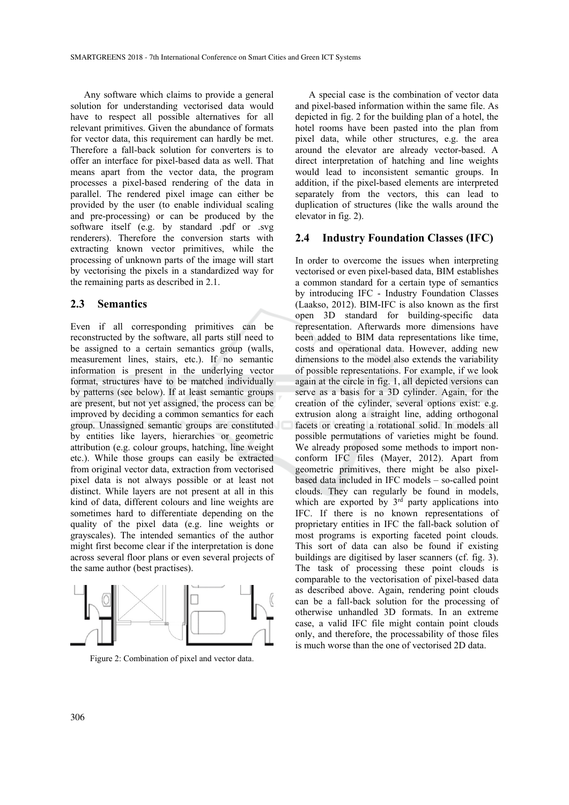Any software which claims to provide a general solution for understanding vectorised data would have to respect all possible alternatives for all relevant primitives. Given the abundance of formats for vector data, this requirement can hardly be met. Therefore a fall-back solution for converters is to offer an interface for pixel-based data as well. That means apart from the vector data, the program processes a pixel-based rendering of the data in parallel. The rendered pixel image can either be provided by the user (to enable individual scaling and pre-processing) or can be produced by the software itself (e.g. by standard .pdf or .svg renderers). Therefore the conversion starts with extracting known vector primitives, while the processing of unknown parts of the image will start by vectorising the pixels in a standardized way for the remaining parts as described in 2.1.

#### **2.3 Semantics**

Even if all corresponding primitives can be reconstructed by the software, all parts still need to be assigned to a certain semantics group (walls, measurement lines, stairs, etc.). If no semantic information is present in the underlying vector format, structures have to be matched individually by patterns (see below). If at least semantic groups are present, but not yet assigned, the process can be improved by deciding a common semantics for each group. Unassigned semantic groups are constituted by entities like layers, hierarchies or geometric attribution (e.g. colour groups, hatching, line weight etc.). While those groups can easily be extracted from original vector data, extraction from vectorised pixel data is not always possible or at least not distinct. While layers are not present at all in this kind of data, different colours and line weights are sometimes hard to differentiate depending on the quality of the pixel data (e.g. line weights or grayscales). The intended semantics of the author might first become clear if the interpretation is done across several floor plans or even several projects of the same author (best practises).



Figure 2: Combination of pixel and vector data.

A special case is the combination of vector data and pixel-based information within the same file. As depicted in fig. 2 for the building plan of a hotel, the hotel rooms have been pasted into the plan from pixel data, while other structures, e.g. the area around the elevator are already vector-based. A direct interpretation of hatching and line weights would lead to inconsistent semantic groups. In addition, if the pixel-based elements are interpreted separately from the vectors, this can lead to duplication of structures (like the walls around the elevator in fig. 2).

#### **2.4 Industry Foundation Classes (IFC)**

In order to overcome the issues when interpreting vectorised or even pixel-based data, BIM establishes a common standard for a certain type of semantics by introducing IFC - Industry Foundation Classes (Laakso, 2012). BIM-IFC is also known as the first open 3D standard for building-specific data representation. Afterwards more dimensions have been added to BIM data representations like time, costs and operational data. However, adding new dimensions to the model also extends the variability of possible representations. For example, if we look again at the circle in fig. 1, all depicted versions can serve as a basis for a 3D cylinder. Again, for the creation of the cylinder, several options exist: e.g. extrusion along a straight line, adding orthogonal facets or creating a rotational solid. In models all possible permutations of varieties might be found. We already proposed some methods to import nonconform IFC files (Mayer, 2012). Apart from geometric primitives, there might be also pixelbased data included in IFC models – so-called point clouds. They can regularly be found in models, which are exported by  $3<sup>rd</sup>$  party applications into IFC. If there is no known representations of proprietary entities in IFC the fall-back solution of most programs is exporting faceted point clouds. This sort of data can also be found if existing buildings are digitised by laser scanners (cf. fig. 3). The task of processing these point clouds is comparable to the vectorisation of pixel-based data as described above. Again, rendering point clouds can be a fall-back solution for the processing of otherwise unhandled 3D formats. In an extreme case, a valid IFC file might contain point clouds only, and therefore, the processability of those files is much worse than the one of vectorised 2D data.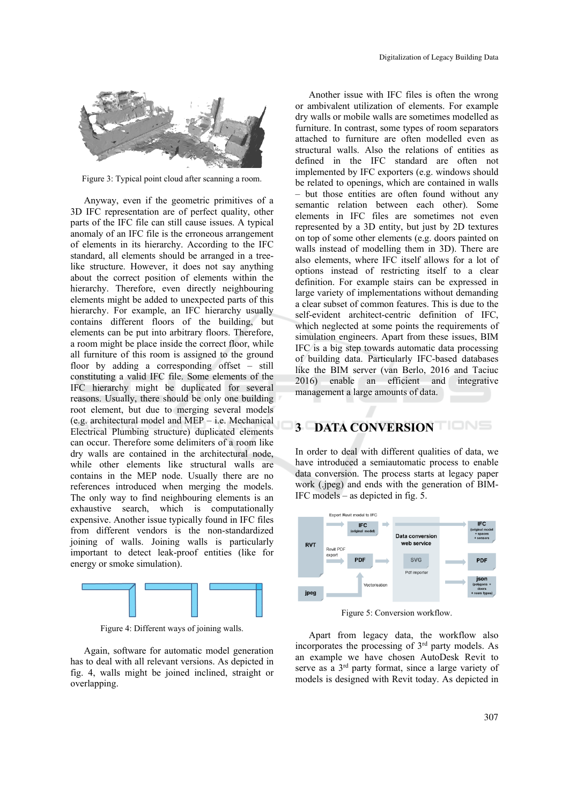

Figure 3: Typical point cloud after scanning a room.

Anyway, even if the geometric primitives of a 3D IFC representation are of perfect quality, other parts of the IFC file can still cause issues. A typical anomaly of an IFC file is the erroneous arrangement of elements in its hierarchy. According to the IFC standard, all elements should be arranged in a treelike structure. However, it does not say anything about the correct position of elements within the hierarchy. Therefore, even directly neighbouring elements might be added to unexpected parts of this hierarchy. For example, an IFC hierarchy usually contains different floors of the building, but elements can be put into arbitrary floors. Therefore, a room might be place inside the correct floor, while all furniture of this room is assigned to the ground floor by adding a corresponding offset – still constituting a valid IFC file. Some elements of the IFC hierarchy might be duplicated for several reasons. Usually, there should be only one building root element, but due to merging several models (e.g. architectural model and MEP – i.e. Mechanical Electrical Plumbing structure) duplicated elements can occur. Therefore some delimiters of a room like dry walls are contained in the architectural node, while other elements like structural walls are contains in the MEP node. Usually there are no references introduced when merging the models. The only way to find neighbouring elements is an exhaustive search, which is computationally expensive. Another issue typically found in IFC files from different vendors is the non-standardized joining of walls. Joining walls is particularly important to detect leak-proof entities (like for energy or smoke simulation).



Figure 4: Different ways of joining walls.

Again, software for automatic model generation has to deal with all relevant versions. As depicted in fig. 4, walls might be joined inclined, straight or overlapping.

Another issue with IFC files is often the wrong or ambivalent utilization of elements. For example dry walls or mobile walls are sometimes modelled as furniture. In contrast, some types of room separators attached to furniture are often modelled even as structural walls. Also the relations of entities as defined in the IFC standard are often not implemented by IFC exporters (e.g. windows should be related to openings, which are contained in walls – but those entities are often found without any semantic relation between each other). Some elements in IFC files are sometimes not even represented by a 3D entity, but just by 2D textures on top of some other elements (e.g. doors painted on walls instead of modelling them in 3D). There are also elements, where IFC itself allows for a lot of options instead of restricting itself to a clear definition. For example stairs can be expressed in large variety of implementations without demanding a clear subset of common features. This is due to the self-evident architect-centric definition of IFC, which neglected at some points the requirements of simulation engineers. Apart from these issues, BIM IFC is a big step towards automatic data processing of building data. Particularly IFC-based databases like the BIM server (van Berlo, 2016 and Taciuc 2016) enable an efficient and integrative management a large amounts of data.

## **3 DATA CONVERSION BLUE**

In order to deal with different qualities of data, we have introduced a semiautomatic process to enable data conversion. The process starts at legacy paper work (.jpeg) and ends with the generation of BIM-IFC models – as depicted in fig. 5.



Figure 5: Conversion workflow.

Apart from legacy data, the workflow also incorporates the processing of 3rd party models. As an example we have chosen AutoDesk Revit to serve as a 3rd party format, since a large variety of models is designed with Revit today. As depicted in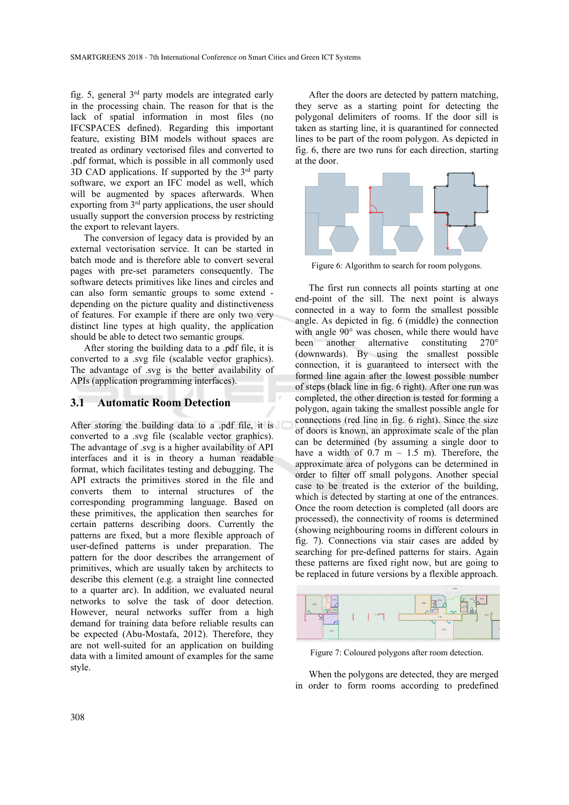fig. 5, general 3rd party models are integrated early in the processing chain. The reason for that is the lack of spatial information in most files (no IFCSPACES defined). Regarding this important feature, existing BIM models without spaces are treated as ordinary vectorised files and converted to .pdf format, which is possible in all commonly used 3D CAD applications. If supported by the  $3<sup>rd</sup>$  party software, we export an IFC model as well, which will be augmented by spaces afterwards. When exporting from 3rd party applications, the user should usually support the conversion process by restricting the export to relevant layers.

The conversion of legacy data is provided by an external vectorisation service. It can be started in batch mode and is therefore able to convert several pages with pre-set parameters consequently. The software detects primitives like lines and circles and can also form semantic groups to some extend depending on the picture quality and distinctiveness of features. For example if there are only two very distinct line types at high quality, the application should be able to detect two semantic groups.

After storing the building data to a .pdf file, it is converted to a .svg file (scalable vector graphics). The advantage of .svg is the better availability of APIs (application programming interfaces).

### **3.1 Automatic Room Detection**

After storing the building data to a .pdf file, it is converted to a .svg file (scalable vector graphics). The advantage of .svg is a higher availability of API interfaces and it is in theory a human readable format, which facilitates testing and debugging. The API extracts the primitives stored in the file and converts them to internal structures of the corresponding programming language. Based on these primitives, the application then searches for certain patterns describing doors. Currently the patterns are fixed, but a more flexible approach of user-defined patterns is under preparation. The pattern for the door describes the arrangement of primitives, which are usually taken by architects to describe this element (e.g. a straight line connected to a quarter arc). In addition, we evaluated neural networks to solve the task of door detection. However, neural networks suffer from a high demand for training data before reliable results can be expected (Abu-Mostafa, 2012). Therefore, they are not well-suited for an application on building data with a limited amount of examples for the same style.

After the doors are detected by pattern matching, they serve as a starting point for detecting the polygonal delimiters of rooms. If the door sill is taken as starting line, it is quarantined for connected lines to be part of the room polygon. As depicted in fig. 6, there are two runs for each direction, starting at the door.



Figure 6: Algorithm to search for room polygons.

The first run connects all points starting at one end-point of the sill. The next point is always connected in a way to form the smallest possible angle. As depicted in fig. 6 (middle) the connection with angle 90° was chosen, while there would have been another alternative constituting 270° (downwards). By using the smallest possible connection, it is guaranteed to intersect with the formed line again after the lowest possible number of steps (black line in fig. 6 right). After one run was completed, the other direction is tested for forming a polygon, again taking the smallest possible angle for connections (red line in fig. 6 right). Since the size of doors is known, an approximate scale of the plan can be determined (by assuming a single door to have a width of  $0.7 \text{ m} - 1.5 \text{ m}$ ). Therefore, the approximate area of polygons can be determined in order to filter off small polygons. Another special case to be treated is the exterior of the building, which is detected by starting at one of the entrances. Once the room detection is completed (all doors are processed), the connectivity of rooms is determined (showing neighbouring rooms in different colours in fig. 7). Connections via stair cases are added by searching for pre-defined patterns for stairs. Again these patterns are fixed right now, but are going to be replaced in future versions by a flexible approach.



Figure 7: Coloured polygons after room detection.

When the polygons are detected, they are merged in order to form rooms according to predefined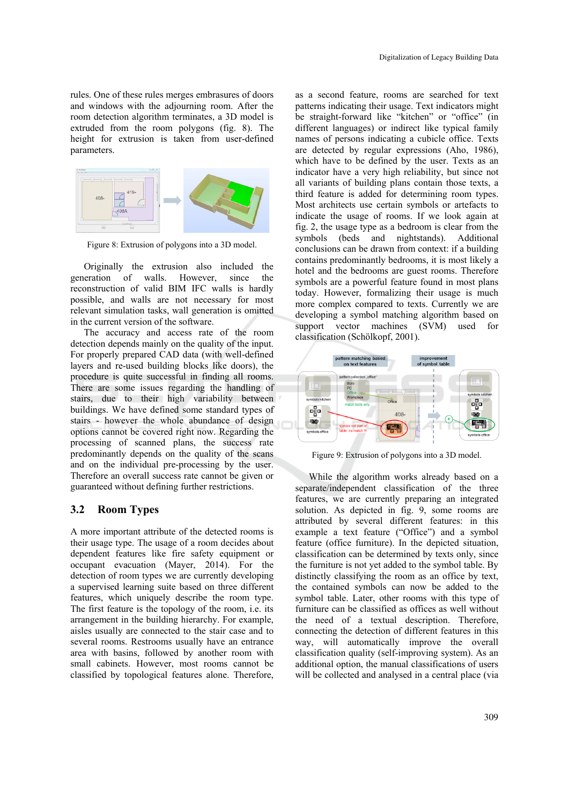rules. One of these rules merges embrasures of doors and windows with the adjourning room. After the room detection algorithm terminates, a 3D model is extruded from the room polygons (fig. 8). The height for extrusion is taken from user-defined parameters.



Figure 8: Extrusion of polygons into a 3D model.

Originally the extrusion also included the generation of walls. However, since the reconstruction of valid BIM IFC walls is hardly possible, and walls are not necessary for most relevant simulation tasks, wall generation is omitted in the current version of the software.

The accuracy and access rate of the room detection depends mainly on the quality of the input. For properly prepared CAD data (with well-defined layers and re-used building blocks like doors), the procedure is quite successful in finding all rooms. There are some issues regarding the handling of stairs, due to their high variability between buildings. We have defined some standard types of stairs - however the whole abundance of design options cannot be covered right now. Regarding the processing of scanned plans, the success rate predominantly depends on the quality of the scans and on the individual pre-processing by the user. Therefore an overall success rate cannot be given or guaranteed without defining further restrictions.

### **3.2 Room Types**

A more important attribute of the detected rooms is their usage type. The usage of a room decides about dependent features like fire safety equipment or occupant evacuation (Mayer, 2014). For the detection of room types we are currently developing a supervised learning suite based on three different features, which uniquely describe the room type. The first feature is the topology of the room, i.e. its arrangement in the building hierarchy. For example, aisles usually are connected to the stair case and to several rooms. Restrooms usually have an entrance area with basins, followed by another room with small cabinets. However, most rooms cannot be classified by topological features alone. Therefore,

as a second feature, rooms are searched for text patterns indicating their usage. Text indicators might be straight-forward like "kitchen" or "office" (in different languages) or indirect like typical family names of persons indicating a cubicle office. Texts are detected by regular expressions (Aho, 1986), which have to be defined by the user. Texts as an indicator have a very high reliability, but since not all variants of building plans contain those texts, a third feature is added for determining room types. Most architects use certain symbols or artefacts to indicate the usage of rooms. If we look again at fig. 2, the usage type as a bedroom is clear from the symbols (beds and nightstands). Additional conclusions can be drawn from context: if a building contains predominantly bedrooms, it is most likely a hotel and the bedrooms are guest rooms. Therefore symbols are a powerful feature found in most plans today. However, formalizing their usage is much more complex compared to texts. Currently we are developing a symbol matching algorithm based on support vector machines (SVM) used for classification (Schölkopf, 2001).



Figure 9: Extrusion of polygons into a 3D model.

While the algorithm works already based on a separate/independent classification of the three features, we are currently preparing an integrated solution. As depicted in fig. 9, some rooms are attributed by several different features: in this example a text feature ("Office") and a symbol feature (office furniture). In the depicted situation, classification can be determined by texts only, since the furniture is not yet added to the symbol table. By distinctly classifying the room as an office by text, the contained symbols can now be added to the symbol table. Later, other rooms with this type of furniture can be classified as offices as well without the need of a textual description. Therefore, connecting the detection of different features in this way, will automatically improve the overall classification quality (self-improving system). As an additional option, the manual classifications of users will be collected and analysed in a central place (via